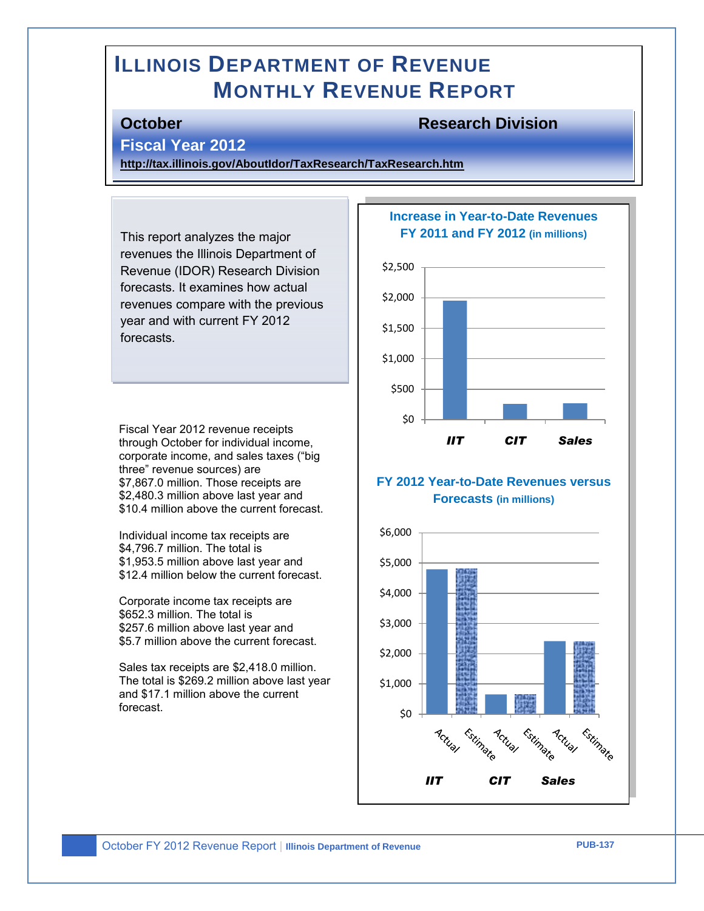# **ILLINOIS DEPARTMENT OF REVENUE MONTHLY REVENUE REPORT**

#### **October Research Division**

#### **Fiscal Year 2012**

**<http://tax.illinois.gov/AboutIdor/TaxResearch/TaxResearch.htm>**

This report analyzes the major revenues the Illinois Department of Revenue (IDOR) Research Division forecasts. It examines how actual revenues compare with the previous year and with current FY 2012 forecasts.

Fiscal Year 2012 revenue receipts through October for individual income, corporate income, and sales taxes ("big three" revenue sources) are \$7,867.0 million. Those receipts are \$2,480.3 million above last year and \$10.4 million above the current forecast.

Individual income tax receipts are \$4,796.7 million. The total is \$1,953.5 million above last year and \$12.4 million below the current forecast.

Corporate income tax receipts are \$652.3 million. The total is \$257.6 million above last year and \$5.7 million above the current forecast.

Sales tax receipts are \$2,418.0 million. The total is \$269.2 million above last year and \$17.1 million above the current forecast.

#### **Increase in Year-to-Date Revenues FY 2011 and FY 2012 (in millions)**



#### **FY 2012 Year-to-Date Revenues versus Forecasts (in millions)**

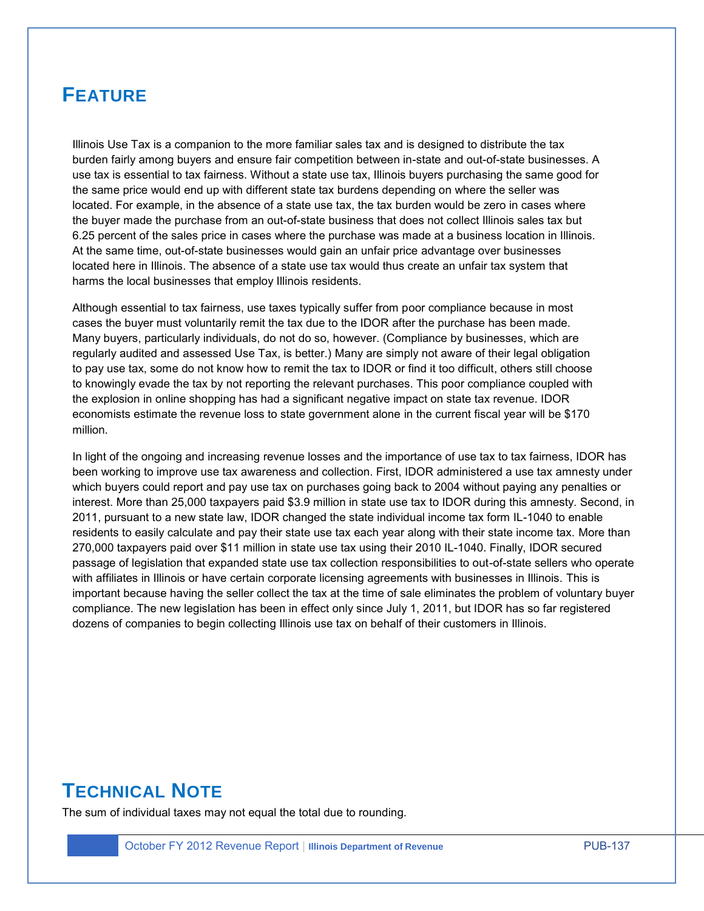## **FEATURE**

Illinois Use Tax is a companion to the more familiar sales tax and is designed to distribute the tax burden fairly among buyers and ensure fair competition between in-state and out-of-state businesses. A use tax is essential to tax fairness. Without a state use tax, Illinois buyers purchasing the same good for the same price would end up with different state tax burdens depending on where the seller was located. For example, in the absence of a state use tax, the tax burden would be zero in cases where the buyer made the purchase from an out-of-state business that does not collect Illinois sales tax but 6.25 percent of the sales price in cases where the purchase was made at a business location in Illinois. At the same time, out-of-state businesses would gain an unfair price advantage over businesses located here in Illinois. The absence of a state use tax would thus create an unfair tax system that harms the local businesses that employ Illinois residents.

Although essential to tax fairness, use taxes typically suffer from poor compliance because in most cases the buyer must voluntarily remit the tax due to the IDOR after the purchase has been made. Many buyers, particularly individuals, do not do so, however. (Compliance by businesses, which are regularly audited and assessed Use Tax, is better.) Many are simply not aware of their legal obligation to pay use tax, some do not know how to remit the tax to IDOR or find it too difficult, others still choose to knowingly evade the tax by not reporting the relevant purchases. This poor compliance coupled with the explosion in online shopping has had a significant negative impact on state tax revenue. IDOR economists estimate the revenue loss to state government alone in the current fiscal year will be \$170 million.

In light of the ongoing and increasing revenue losses and the importance of use tax to tax fairness, IDOR has been working to improve use tax awareness and collection. First, IDOR administered a use tax amnesty under which buyers could report and pay use tax on purchases going back to 2004 without paying any penalties or interest. More than 25,000 taxpayers paid \$3.9 million in state use tax to IDOR during this amnesty. Second, in 2011, pursuant to a new state law, IDOR changed the state individual income tax form IL-1040 to enable residents to easily calculate and pay their state use tax each year along with their state income tax. More than 270,000 taxpayers paid over \$11 million in state use tax using their 2010 IL-1040. Finally, IDOR secured passage of legislation that expanded state use tax collection responsibilities to out-of-state sellers who operate with affiliates in Illinois or have certain corporate licensing agreements with businesses in Illinois. This is important because having the seller collect the tax at the time of sale eliminates the problem of voluntary buyer compliance. The new legislation has been in effect only since July 1, 2011, but IDOR has so far registered dozens of companies to begin collecting Illinois use tax on behalf of their customers in Illinois.

## **TECHNICAL NOTE**

The sum of individual taxes may not equal the total due to rounding.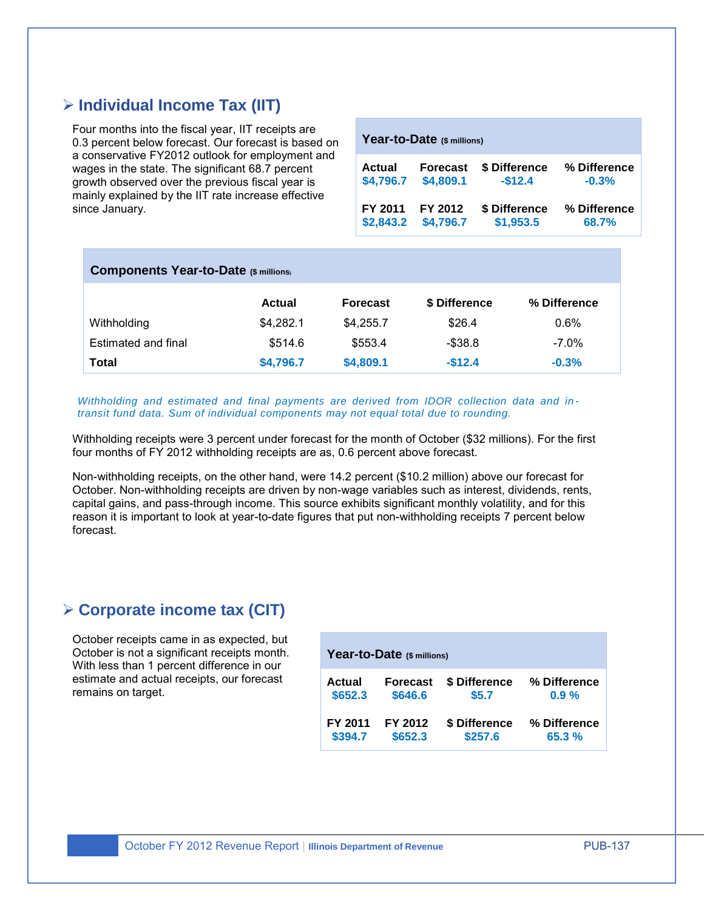## **Individual Income Tax (IIT)**

Four months into the fiscal year, IIT receipts are 0.3 percent below forecast. Our forecast is based on a conservative FY2012 outlook for employment and wages in the state. The significant 68.7 percent growth observed over the previous fiscal year is mainly explained by the IIT rate increase effective since January.

| Year-to-Date (\$ millions) |                 |               |              |  |  |  |
|----------------------------|-----------------|---------------|--------------|--|--|--|
| Actual                     | <b>Forecast</b> | \$ Difference | % Difference |  |  |  |
| \$4,796.7                  | \$4,809.1       | $-$12.4$      | $-0.3%$      |  |  |  |
| FY 2011                    | FY 2012         | \$ Difference | % Difference |  |  |  |
| \$2,843.2                  | \$4,796.7       | \$1,953.5     | 68.7%        |  |  |  |

| <b>Components Year-to-Date (\$ millions)</b> |               |                 |               |              |  |  |
|----------------------------------------------|---------------|-----------------|---------------|--------------|--|--|
|                                              | <b>Actual</b> | <b>Forecast</b> | \$ Difference | % Difference |  |  |
| Withholding                                  | \$4,282.1     | \$4.255.7       | \$26.4        | $0.6\%$      |  |  |
| Estimated and final                          | \$514.6       | \$553.4         | $-$ \$38.8    | $-7.0\%$     |  |  |
| Total                                        | \$4,796.7     | \$4,809.1       | $-$12.4$      | $-0.3%$      |  |  |

*Withholding and estimated and final payments are derived from IDOR collection data and in transit fund data. Sum of individual components may not equal total due to rounding.* 

Withholding receipts were 3 percent under forecast for the month of October (\$32 millions). For the first four months of FY 2012 withholding receipts are as, 0.6 percent above forecast.

Non-withholding receipts, on the other hand, were 14.2 percent (\$10.2 million) above our forecast for October. Non-withholding receipts are driven by non-wage variables such as interest, dividends, rents, capital gains, and pass-through income. This source exhibits significant monthly volatility, and for this reason it is important to look at year-to-date figures that put non-withholding receipts 7 percent below forecast.

#### **Corporate income tax (CIT)**

October receipts came in as expected, but October is not a significant receipts month. With less than 1 percent difference in our estimate and actual receipts, our forecast remains on target.

| Year-to-Date (\$ millions) |                 |               |              |  |  |  |
|----------------------------|-----------------|---------------|--------------|--|--|--|
| Actual                     | <b>Forecast</b> | \$ Difference | % Difference |  |  |  |
| \$652.3                    | \$646.6         | \$5.7         | $0.9 \%$     |  |  |  |
| FY 2011                    | FY 2012         | \$ Difference | % Difference |  |  |  |
| \$394.7                    | \$652.3         | \$257.6       | 65.3%        |  |  |  |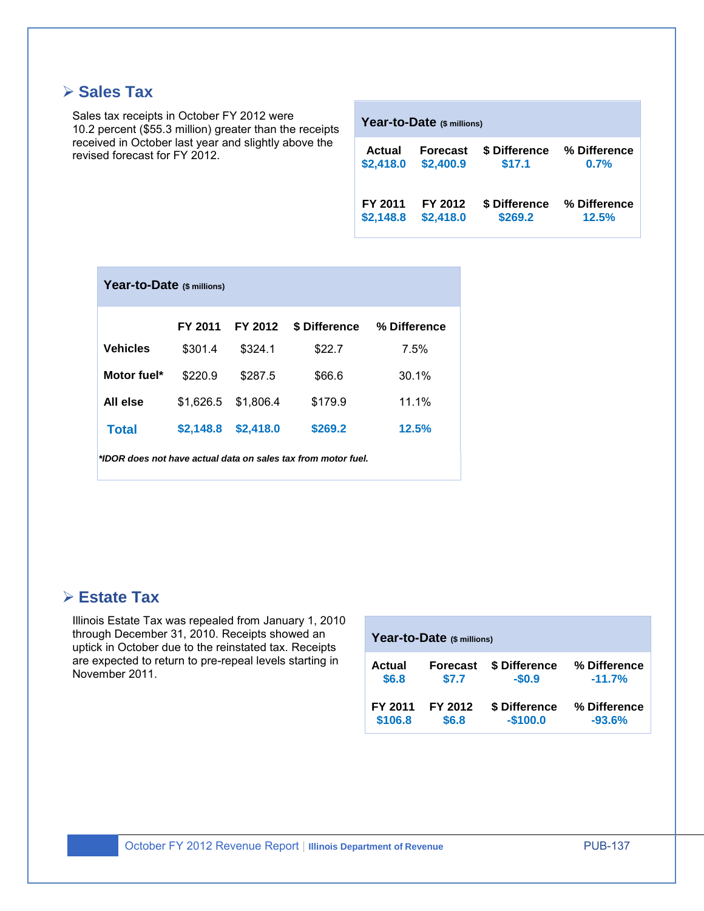## **≻ Sales Tax**

Sales tax receipts in October FY 2012 were 10.2 percent (\$55.3 million) greater than the receipts received in October last year and slightly above the revised forecast for FY 2012.

| <b>Actual</b> | <b>Forecast</b> | \$ Difference | % Difference |
|---------------|-----------------|---------------|--------------|
| \$2,418.0     | \$2,400.9       | \$17.1        | 0.7%         |
| FY 2011       | FY 2012         | \$ Difference | % Difference |
| \$2,148.8     | \$2,418.0       | \$269.2       | 12.5%        |

**Year-to-Date (\$ millions)** 

| Year-to-Date (\$ millions)                                    |           |           |               |              |  |  |
|---------------------------------------------------------------|-----------|-----------|---------------|--------------|--|--|
|                                                               | FY 2011   | FY 2012   | \$ Difference | % Difference |  |  |
| <b>Vehicles</b>                                               | \$301.4   | \$324.1   | \$22.7        | 7.5%         |  |  |
| Motor fuel*                                                   | \$220.9   | \$287.5   | \$66.6        | 30.1%        |  |  |
| All else                                                      | \$1.626.5 | \$1,806.4 | \$179.9       | 11.1%        |  |  |
| <b>Total</b>                                                  | \$2,148.8 | \$2,418.0 | \$269.2       | 12.5%        |  |  |
| *IDOR does not have actual data on sales tax from motor fuel. |           |           |               |              |  |  |

#### **Estate Tax**

Illinois Estate Tax was repealed from January 1, 2010 through December 31, 2010. Receipts showed an uptick in October due to the reinstated tax. Receipts are expected to return to pre-repeal levels starting in November 2011.

| Year-to-Date (\$ millions) |                 |               |              |  |  |  |
|----------------------------|-----------------|---------------|--------------|--|--|--|
| Actual                     | <b>Forecast</b> | \$ Difference | % Difference |  |  |  |
| \$6.8                      | \$7.7           | $-$0.9$       | $-11.7%$     |  |  |  |
| FY 2011                    | FY 2012         | \$ Difference | % Difference |  |  |  |
| \$106.8                    | \$6.8           | $-$100.0$     | $-93.6%$     |  |  |  |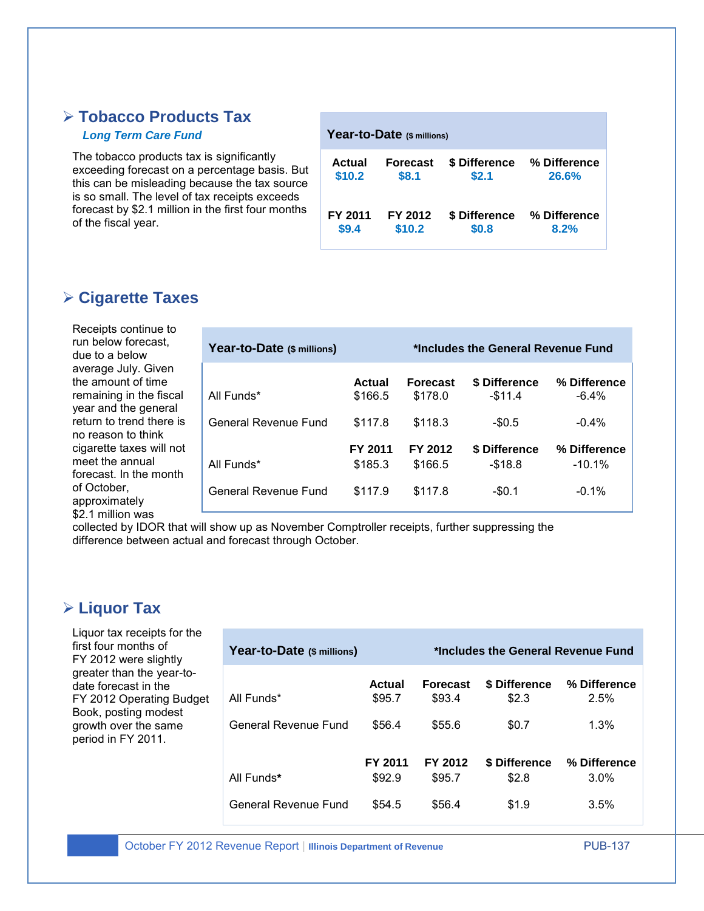#### **Tobacco Products Tax**

#### *Long Term Care Fund*

The tobacco products tax is significantly exceeding forecast on a percentage basis. But this can be misleading because the tax source is so small. The level of tax receipts exceeds forecast by \$2.1 million in the first four months of the fiscal year.

| Year-to-Date (\$ millions) |                 |               |              |  |  |  |
|----------------------------|-----------------|---------------|--------------|--|--|--|
| Actual                     | <b>Forecast</b> | \$ Difference | % Difference |  |  |  |
| \$10.2                     | \$8.1           | \$2.1         | 26.6%        |  |  |  |
| FY 2011                    | FY 2012         | \$ Difference | % Difference |  |  |  |
| \$9.4                      | \$10.2          | \$0.8         | 8.2%         |  |  |  |

#### **Cigarette Taxes**

Receipts continue to run below forecast, due to a below average July. Given the amount of time remaining in the fiscal year and the general return to trend there is no reason to think cigarette taxes will not meet the annual forecast. In the month of October, approximately \$2.1 million was

| Year-to-Date (\$ millions) |                    | *Includes the General Revenue Fund |                             |                           |  |
|----------------------------|--------------------|------------------------------------|-----------------------------|---------------------------|--|
| All Funds*                 | Actual<br>\$166.5  | <b>Forecast</b><br>\$178.0         | \$ Difference<br>$-$11.4$   | % Difference<br>$-6.4\%$  |  |
| General Revenue Fund       | \$117.8            | \$118.3                            | $-$0.5$                     | $-0.4\%$                  |  |
| All Funds*                 | FY 2011<br>\$185.3 | FY 2012<br>\$166.5                 | \$ Difference<br>$-$ \$18.8 | % Difference<br>$-10.1\%$ |  |
| General Revenue Fund       | \$117.9            | \$117.8                            | $-$0.1$                     | $-0.1\%$                  |  |

collected by IDOR that will show up as November Comptroller receipts, further suppressing the difference between actual and forecast through October.

## **Liquor Tax**

Liquor tax receipts for the first four months of FY 2012 were slightly greater than the year-todate forecast in the FY 2012 Operating Budget Book, posting modest growth over the same period in FY 2011.

| Year-to-Date (\$ millions) |                   |                           | *Includes the General Revenue Fund |                         |
|----------------------------|-------------------|---------------------------|------------------------------------|-------------------------|
| All Funds*                 | Actual<br>\$95.7  | <b>Forecast</b><br>\$93.4 | \$ Difference<br>\$2.3             | % Difference<br>2.5%    |
| General Revenue Fund       | \$56.4            | \$55.6                    | \$0.7                              | 1.3%                    |
| All Funds*                 | FY 2011<br>\$92.9 | FY 2012<br>\$95.7         | \$ Difference<br>\$2.8             | % Difference<br>$3.0\%$ |
| General Revenue Fund       | \$54.5            | \$56.4                    | \$1.9                              | 3.5%                    |

October FY 2012 Revenue Report | **Illinois Department of Revenue** PUB-137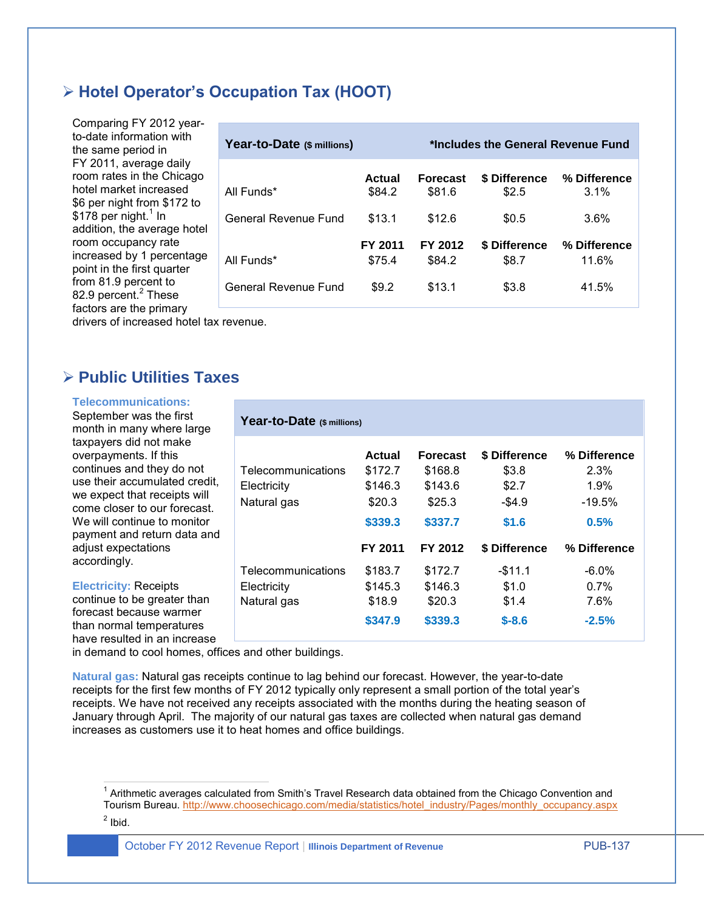#### **Hotel Operator's Occupation Tax (HOOT)**

Comparing FY 2012 yearto-date information with the same period in FY 2011, average daily room rates in the Chicago hotel market increased \$6 per night from \$172 to  $$178$  per night.<sup>1</sup> In addition, the average hotel room occupancy rate increased by 1 percentage point in the first quarter from 81.9 percent to 82.9 percent.<sup>2</sup> These factors are the primary

| Year-to-Date (\$ millions) |                   | *Includes the General Revenue Fund |                               |                         |
|----------------------------|-------------------|------------------------------------|-------------------------------|-------------------------|
| All Funds*                 | Actual<br>\$84.2  | <b>Forecast</b><br>\$81.6          | <b>\$ Difference</b><br>\$2.5 | % Difference<br>$3.1\%$ |
| General Revenue Fund       | \$13.1            | \$12.6                             | \$0.5                         | 3.6%                    |
| All Funds*                 | FY 2011<br>\$75.4 | FY 2012<br>\$84.2                  | \$ Difference<br>\$8.7        | % Difference<br>11.6%   |
| General Revenue Fund       | \$9.2             | \$13.1                             | \$3.8                         | 41.5%                   |

drivers of increased hotel tax revenue.

#### **Public Utilities Taxes**

#### **Telecommunications:**

September was the first month in many where large taxpayers did not make overpayments. If this continues and they do not use their accumulated credit, we expect that receipts will come closer to our forecast. We will continue to monitor payment and return data and adjust expectations accordingly.

**Electricity:** Receipts continue to be greater than forecast because warmer than normal temperatures have resulted in an increase

## **Year-to-Date (\$ millions) Actual Forecast \$ Difference % Difference** Telecommunications \$172.7 \$168.8 \$3.8 2.3% Electricity \$146.3 \$143.6 \$2.7 1.9% Natural gas  $$20.3$   $$25.3$   $$4.9$   $$19.5\%$ **\$339.3 \$337.7 \$1.6 0.5% FY 2011 FY 2012 \$ Difference % Difference** Telecommunications \$183.7 \$172.7 -\$11.1 -6.0% Electricity \$145.3 \$146.3 \$1.0 0.7% Natural gas \$18.9 \$20.3 \$1.4 7.6% **\$347.9 \$339.3 \$-8.6 -2.5%**

in demand to cool homes, offices and other buildings.

**Natural gas:** Natural gas receipts continue to lag behind our forecast. However, the year-to-date receipts for the first few months of FY 2012 typically only represent a small portion of the total year's receipts. We have not received any receipts associated with the months during the heating season of January through April. The majority of our natural gas taxes are collected when natural gas demand increases as customers use it to heat homes and office buildings.

 1 Arithmetic averages calculated from Smith's Travel Research data obtained from the Chicago Convention and Tourism Bureau. [http://www.choosechicago.com/media/statistics/hotel\\_industry/Pages/monthly\\_occupancy.aspx](http://www.choosechicago.com/media/statistics/hotel_industry/Pages/monthly_occupancy.aspx)  $<sup>2</sup>$  Ibid.</sup>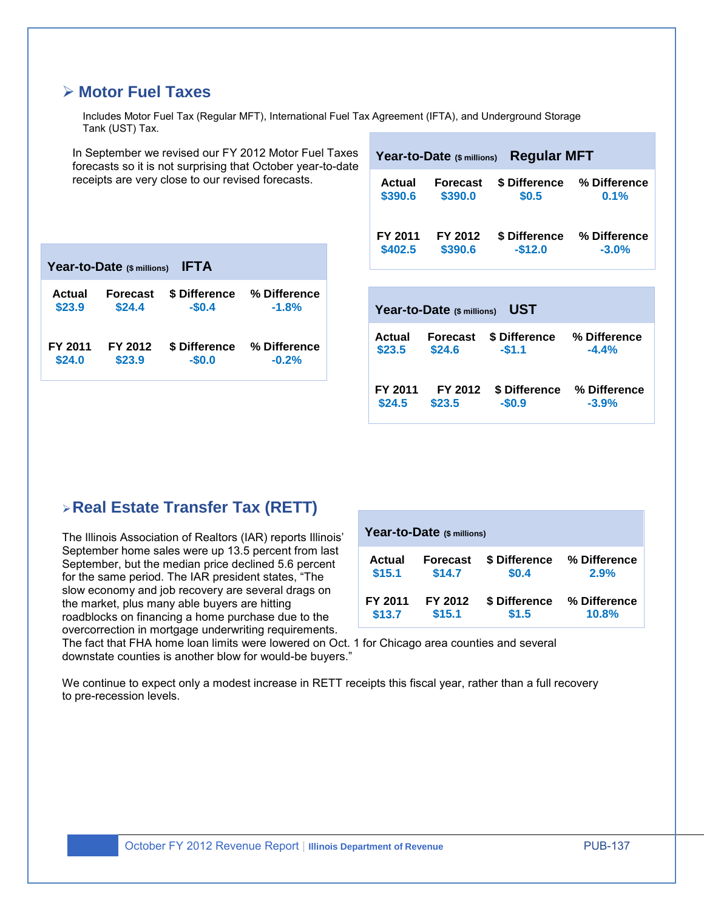#### **Motor Fuel Taxes**

Includes Motor Fuel Tax (Regular MFT), International Fuel Tax Agreement (IFTA), and Underground Storage Tank (UST) Tax.

In September we revised our FY 2012 Motor Fuel Taxes forecasts so it is not surprising that October year-to-date receipts are very close to our revised forecasts. **Year-to-Date (\$ millions) Regular MFT Year-to-Date (\$ millions) IFTA Actual Forecast \$ Difference % Difference \$23.9 \$24.4 -\$0.4 -1.8% Year-to-Date (\$ millions) UST**

| FY 2011 | FY 2012 |         | S Difference % Difference |
|---------|---------|---------|---------------------------|
| \$24.0  | \$23.9  | $-50.0$ | $-0.2%$                   |
|         |         |         |                           |

| Actual  | <b>Forecast</b>            | \$ Difference | % Difference |
|---------|----------------------------|---------------|--------------|
| \$390.6 | \$390.0                    | \$0.5         | 0.1%         |
| FY 2011 | FY 2012                    | \$ Difference | % Difference |
| \$402.5 | \$390.6                    | $-$12.0$      | $-3.0%$      |
|         | Year-to-Date (\$ millions) | UST           |              |

| Actual  | <b>Forecast</b> | \$ Difference | % Difference |
|---------|-----------------|---------------|--------------|
| \$23.5  | \$24.6          | $-51.1$       | $-4.4%$      |
| FY 2011 | FY 2012         | \$ Difference | % Difference |
| \$24.5  | \$23.5          | $-$0.9$       | $-3.9%$      |

## **Real Estate Transfer Tax (RETT)**

The Illinois Association of Realtors (IAR) reports Illinois' September home sales were up 13.5 percent from last September, but the median price declined 5.6 percent for the same period. The IAR president states, "The slow economy and job recovery are several drags on the market, plus many able buyers are hitting roadblocks on financing a home purchase due to the overcorrection in mortgage underwriting requirements.

| Year-to-Date (\$ millions) |                 |               |              |  |  |  |  |  |  |  |
|----------------------------|-----------------|---------------|--------------|--|--|--|--|--|--|--|
| Actual                     | <b>Forecast</b> | \$ Difference | % Difference |  |  |  |  |  |  |  |
| \$15.1                     | \$14.7          | \$0.4         | 2.9%         |  |  |  |  |  |  |  |
| FY 2011                    | FY 2012         | \$ Difference | % Difference |  |  |  |  |  |  |  |
| \$13.7                     | \$15.1          | \$1.5         | 10.8%        |  |  |  |  |  |  |  |

The fact that FHA home loan limits were lowered on Oct. 1 for Chicago area counties and several downstate counties is another blow for would-be buyers."

We continue to expect only a modest increase in RETT receipts this fiscal year, rather than a full recovery to pre-recession levels.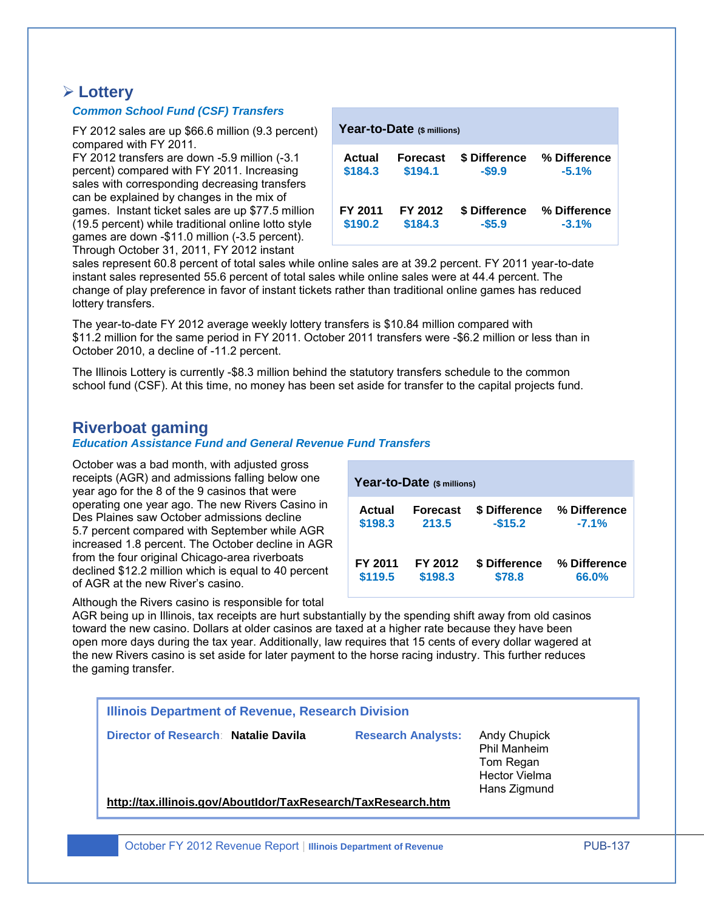#### **Lottery**

#### *Common School Fund (CSF) Transfers*

FY 2012 sales are up \$66.6 million (9.3 percent) compared with FY 2011.

FY 2012 transfers are down -5.9 million (-3.1 percent) compared with FY 2011. Increasing sales with corresponding decreasing transfers can be explained by changes in the mix of games. Instant ticket sales are up \$77.5 million (19.5 percent) while traditional online lotto style games are down -\$11.0 million (-3.5 percent). Through October 31, 2011, FY 2012 instant

|         | Year-to-Date (\$ millions) |               |              |
|---------|----------------------------|---------------|--------------|
| Actual  | Forecast                   | \$ Difference | % Difference |
| \$184.3 | \$194.1                    | $-$ \$9.9     | $-5.1%$      |
| FY 2011 | FY 2012                    | \$ Difference | % Difference |
| \$190.2 | \$184.3                    | $-$5.9$       | $-3.1%$      |

sales represent 60.8 percent of total sales while online sales are at 39.2 percent. FY 2011 year-to-date instant sales represented 55.6 percent of total sales while online sales were at 44.4 percent. The change of play preference in favor of instant tickets rather than traditional online games has reduced lottery transfers.

The year-to-date FY 2012 average weekly lottery transfers is \$10.84 million compared with \$11.2 million for the same period in FY 2011. October 2011 transfers were -\$6.2 million or less than in October 2010, a decline of -11.2 percent.

The Illinois Lottery is currently -\$8.3 million behind the statutory transfers schedule to the common school fund (CSF). At this time, no money has been set aside for transfer to the capital projects fund.

#### **Riverboat gaming**

#### *Education Assistance Fund and General Revenue Fund Transfers*

October was a bad month, with adjusted gross receipts (AGR) and admissions falling below one year ago for the 8 of the 9 casinos that were operating one year ago. The new Rivers Casino in Des Plaines saw October admissions decline 5.7 percent compared with September while AGR increased 1.8 percent. The October decline in AGR from the four original Chicago-area riverboats declined \$12.2 million which is equal to 40 percent of AGR at the new River's casino.

| Year-to-Date (\$ millions) |                 |               |              |  |  |  |  |  |  |  |
|----------------------------|-----------------|---------------|--------------|--|--|--|--|--|--|--|
| Actual                     | <b>Forecast</b> | \$ Difference | % Difference |  |  |  |  |  |  |  |
| \$198.3                    | 213.5           | $-$15.2$      | $-7.1%$      |  |  |  |  |  |  |  |
| FY 2011                    | FY 2012         | \$ Difference | % Difference |  |  |  |  |  |  |  |
| \$119.5                    | \$198.3         | \$78.8        | 66.0%        |  |  |  |  |  |  |  |

Although the Rivers casino is responsible for total AGR being up in Illinois, tax receipts are hurt substantially by the spending shift away from old casinos toward the new casino. Dollars at older casinos are taxed at a higher rate because they have been open more days during the tax year. Additionally, law requires that 15 cents of every dollar wagered at the new Rivers casino is set aside for later payment to the horse racing industry. This further reduces the gaming transfer.

|                                                               | Tom Regan<br><b>Hector Vielma</b><br>Hans Zigmund |
|---------------------------------------------------------------|---------------------------------------------------|
| http://tax.illinois.gov/AboutIdor/TaxResearch/TaxResearch.htm |                                                   |

October FY 2012 Revenue Report | **Illinois Department of Revenue** PUB-137